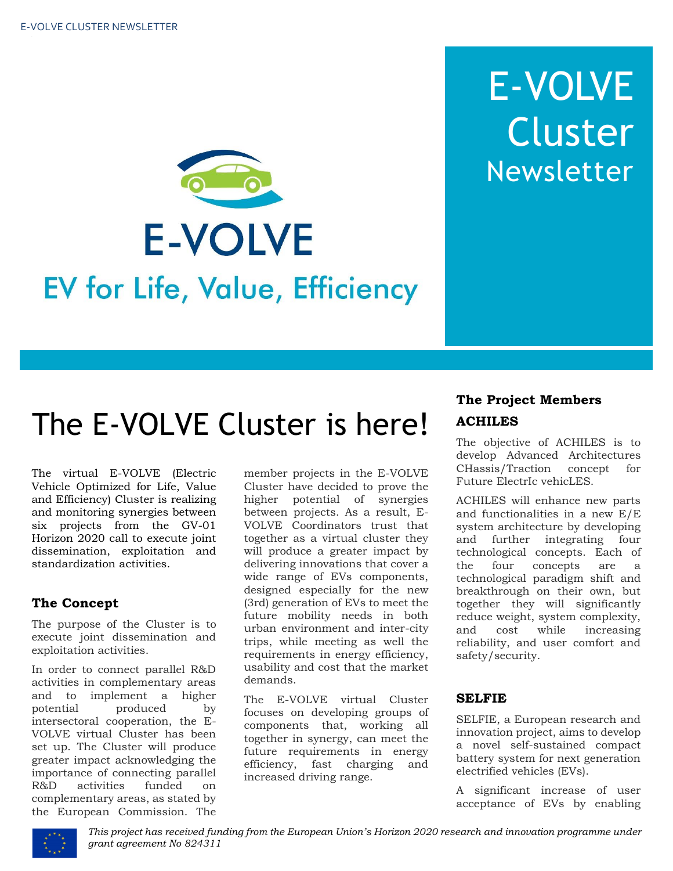

# E-VOLVE Cluster Newsletter

# The E-VOLVE Cluster is here!

The virtual E-VOLVE (Electric Vehicle Optimized for Life, Value and Efficiency) Cluster is realizing and monitoring synergies between six projects from the GV-01 Horizon 2020 call to execute joint dissemination, exploitation and standardization activities.

### **The Concept**

The purpose of the Cluster is to execute joint dissemination and exploitation activities.

In order to connect parallel R&D activities in complementary areas and to implement a higher potential produced by intersectoral cooperation, the E-VOLVE virtual Cluster has been set up. The Cluster will produce greater impact acknowledging the importance of connecting parallel<br>R&D activities funded on R&D activities funded on complementary areas, as stated by the European Commission. The member projects in the E-VOLVE Cluster have decided to prove the higher potential of synergies between projects. As a result, E-VOLVE Coordinators trust that together as a virtual cluster they will produce a greater impact by delivering innovations that cover a wide range of EVs components, designed especially for the new (3rd) generation of EVs to meet the future mobility needs in both urban environment and inter-city trips, while meeting as well the requirements in energy efficiency, usability and cost that the market demands.

The E-VOLVE virtual Cluster focuses on developing groups of components that, working all together in synergy, can meet the future requirements in energy efficiency, fast charging and increased driving range.

# **The Project Members ACHILES**

The objective of ACHILES is to develop Advanced Architectures CHassis/Traction concept for Future ElectrIc vehicLES.

ACHILES will enhance new parts and functionalities in a new E/E system architecture by developing and further integrating four technological concepts. Each of the four concepts are a technological paradigm shift and breakthrough on their own, but together they will significantly reduce weight, system complexity, and cost while increasing reliability, and user comfort and safety/security.

#### **SELFIE**

SELFIE, a European research and innovation project, aims to develop a novel self-sustained compact battery system for next generation electrified vehicles (EVs).

A significant increase of user acceptance of EVs by enabling